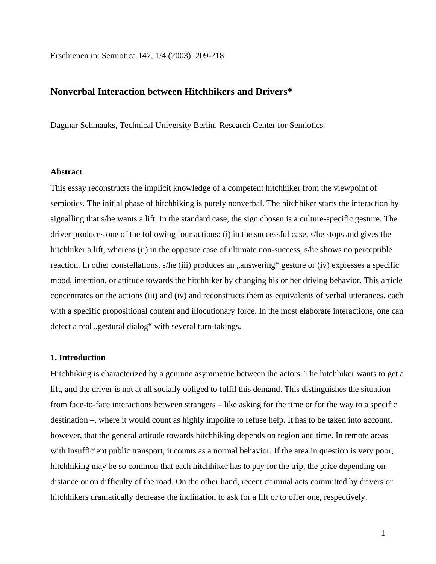# **Nonverbal Interaction between Hitchhikers and Drivers\***

Dagmar Schmauks, Technical University Berlin, Research Center for Semiotics

### **Abstract**

This essay reconstructs the implicit knowledge of a competent hitchhiker from the viewpoint of semiotics. The initial phase of hitchhiking is purely nonverbal. The hitchhiker starts the interaction by signalling that s/he wants a lift. In the standard case, the sign chosen is a culture-specific gesture. The driver produces one of the following four actions: (i) in the successful case, s/he stops and gives the hitchhiker a lift, whereas (ii) in the opposite case of ultimate non-success, s/he shows no perceptible reaction. In other constellations, s/he (iii) produces an "answering" gesture or (iv) expresses a specific mood, intention, or attitude towards the hitchhiker by changing his or her driving behavior. This article concentrates on the actions (iii) and (iv) and reconstructs them as equivalents of verbal utterances, each with a specific propositional content and illocutionary force. In the most elaborate interactions, one can detect a real "gestural dialog" with several turn-takings.

### **1. Introduction**

Hitchhiking is characterized by a genuine asymmetrie between the actors. The hitchhiker wants to get a lift, and the driver is not at all socially obliged to fulfil this demand. This distinguishes the situation from face-to-face interactions between strangers – like asking for the time or for the way to a specific destination –, where it would count as highly impolite to refuse help. It has to be taken into account, however, that the general attitude towards hitchhiking depends on region and time. In remote areas with insufficient public transport, it counts as a normal behavior. If the area in question is very poor, hitchhiking may be so common that each hitchhiker has to pay for the trip, the price depending on distance or on difficulty of the road. On the other hand, recent criminal acts committed by drivers or hitchhikers dramatically decrease the inclination to ask for a lift or to offer one, respectively.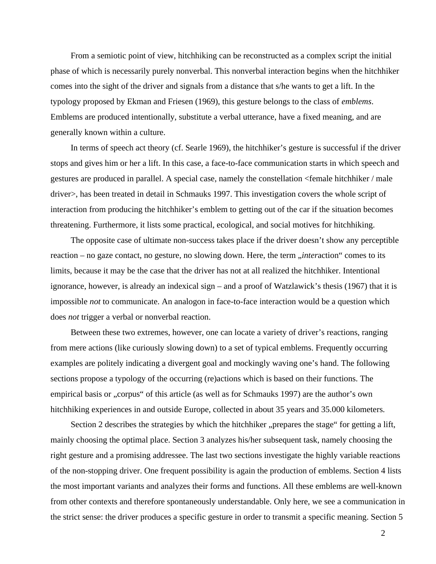From a semiotic point of view, hitchhiking can be reconstructed as a complex script the initial phase of which is necessarily purely nonverbal. This nonverbal interaction begins when the hitchhiker comes into the sight of the driver and signals from a distance that s/he wants to get a lift. In the typology proposed by Ekman and Friesen (1969), this gesture belongs to the class of *emblems*. Emblems are produced intentionally, substitute a verbal utterance, have a fixed meaning, and are generally known within a culture.

In terms of speech act theory (cf. Searle 1969), the hitchhiker's gesture is successful if the driver stops and gives him or her a lift. In this case, a face-to-face communication starts in which speech and gestures are produced in parallel. A special case, namely the constellation <female hitchhiker / male driver>, has been treated in detail in Schmauks 1997. This investigation covers the whole script of interaction from producing the hitchhiker's emblem to getting out of the car if the situation becomes threatening. Furthermore, it lists some practical, ecological, and social motives for hitchhiking.

The opposite case of ultimate non-success takes place if the driver doesn't show any perceptible reaction – no gaze contact, no gesture, no slowing down. Here, the term *, interaction* " comes to its limits, because it may be the case that the driver has not at all realized the hitchhiker. Intentional ignorance, however, is already an indexical sign – and a proof of Watzlawick's thesis (1967) that it is impossible *not* to communicate. An analogon in face-to-face interaction would be a question which does *not* trigger a verbal or nonverbal reaction.

Between these two extremes, however, one can locate a variety of driver's reactions, ranging from mere actions (like curiously slowing down) to a set of typical emblems. Frequently occurring examples are politely indicating a divergent goal and mockingly waving one's hand. The following sections propose a typology of the occurring (re)actions which is based on their functions. The empirical basis or "corpus" of this article (as well as for Schmauks 1997) are the author's own hitchhiking experiences in and outside Europe, collected in about 35 years and 35.000 kilometers.

Section 2 describes the strategies by which the hitchhiker, prepares the stage for getting a lift, mainly choosing the optimal place. Section 3 analyzes his/her subsequent task, namely choosing the right gesture and a promising addressee. The last two sections investigate the highly variable reactions of the non-stopping driver. One frequent possibility is again the production of emblems. Section 4 lists the most important variants and analyzes their forms and functions. All these emblems are well-known from other contexts and therefore spontaneously understandable. Only here, we see a communication in the strict sense: the driver produces a specific gesture in order to transmit a specific meaning. Section 5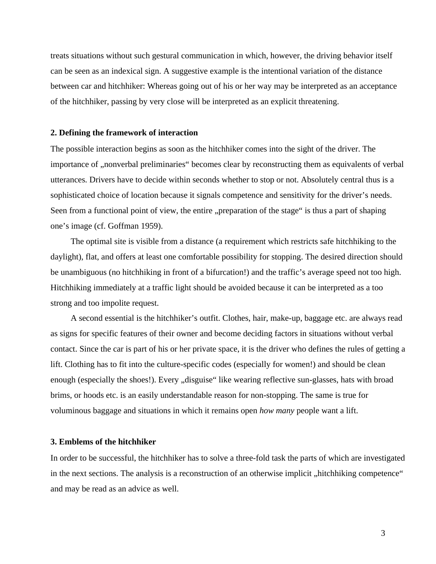treats situations without such gestural communication in which, however, the driving behavior itself can be seen as an indexical sign. A suggestive example is the intentional variation of the distance between car and hitchhiker: Whereas going out of his or her way may be interpreted as an acceptance of the hitchhiker, passing by very close will be interpreted as an explicit threatening.

### **2. Defining the framework of interaction**

The possible interaction begins as soon as the hitchhiker comes into the sight of the driver. The importance of ,,nonverbal preliminaries" becomes clear by reconstructing them as equivalents of verbal utterances. Drivers have to decide within seconds whether to stop or not. Absolutely central thus is a sophisticated choice of location because it signals competence and sensitivity for the driver's needs. Seen from a functional point of view, the entire "preparation of the stage" is thus a part of shaping one's image (cf. Goffman 1959).

The optimal site is visible from a distance (a requirement which restricts safe hitchhiking to the daylight), flat, and offers at least one comfortable possibility for stopping. The desired direction should be unambiguous (no hitchhiking in front of a bifurcation!) and the traffic's average speed not too high. Hitchhiking immediately at a traffic light should be avoided because it can be interpreted as a too strong and too impolite request.

A second essential is the hitchhiker's outfit. Clothes, hair, make-up, baggage etc. are always read as signs for specific features of their owner and become deciding factors in situations without verbal contact. Since the car is part of his or her private space, it is the driver who defines the rules of getting a lift. Clothing has to fit into the culture-specific codes (especially for women!) and should be clean enough (especially the shoes!). Every "disguise" like wearing reflective sun-glasses, hats with broad brims, or hoods etc. is an easily understandable reason for non-stopping. The same is true for voluminous baggage and situations in which it remains open *how many* people want a lift.

### **3. Emblems of the hitchhiker**

In order to be successful, the hitchhiker has to solve a three-fold task the parts of which are investigated in the next sections. The analysis is a reconstruction of an otherwise implicit, hitchhiking competence" and may be read as an advice as well.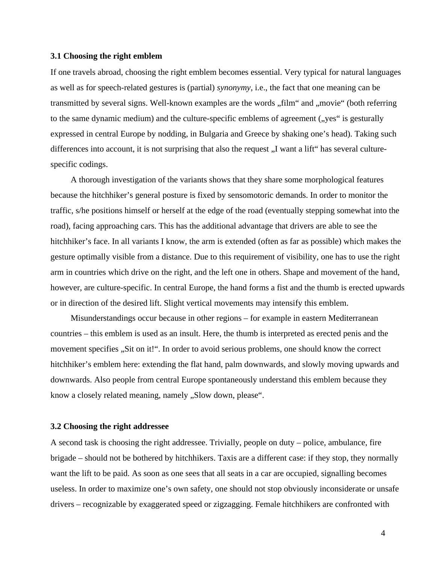#### **3.1 Choosing the right emblem**

If one travels abroad, choosing the right emblem becomes essential. Very typical for natural languages as well as for speech-related gestures is (partial) *synonymy*, i.e., the fact that one meaning can be transmitted by several signs. Well-known examples are the words "film" and "movie" (both referring to the same dynamic medium) and the culture-specific emblems of agreement ("yes" is gesturally expressed in central Europe by nodding, in Bulgaria and Greece by shaking one's head). Taking such differences into account, it is not surprising that also the request "I want a lift" has several culturespecific codings.

A thorough investigation of the variants shows that they share some morphological features because the hitchhiker's general posture is fixed by sensomotoric demands. In order to monitor the traffic, s/he positions himself or herself at the edge of the road (eventually stepping somewhat into the road), facing approaching cars. This has the additional advantage that drivers are able to see the hitchhiker's face. In all variants I know, the arm is extended (often as far as possible) which makes the gesture optimally visible from a distance. Due to this requirement of visibility, one has to use the right arm in countries which drive on the right, and the left one in others. Shape and movement of the hand, however, are culture-specific. In central Europe, the hand forms a fist and the thumb is erected upwards or in direction of the desired lift. Slight vertical movements may intensify this emblem.

Misunderstandings occur because in other regions – for example in eastern Mediterranean countries – this emblem is used as an insult. Here, the thumb is interpreted as erected penis and the movement specifies "Sit on it!". In order to avoid serious problems, one should know the correct hitchhiker's emblem here: extending the flat hand, palm downwards, and slowly moving upwards and downwards. Also people from central Europe spontaneously understand this emblem because they know a closely related meaning, namely "Slow down, please".

#### **3.2 Choosing the right addressee**

A second task is choosing the right addressee. Trivially, people on duty – police, ambulance, fire brigade – should not be bothered by hitchhikers. Taxis are a different case: if they stop, they normally want the lift to be paid. As soon as one sees that all seats in a car are occupied, signalling becomes useless. In order to maximize one's own safety, one should not stop obviously inconsiderate or unsafe drivers – recognizable by exaggerated speed or zigzagging. Female hitchhikers are confronted with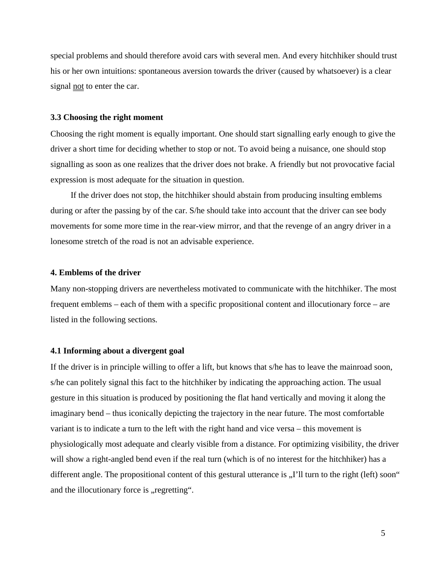special problems and should therefore avoid cars with several men. And every hitchhiker should trust his or her own intuitions: spontaneous aversion towards the driver (caused by whatsoever) is a clear signal not to enter the car.

### **3.3 Choosing the right moment**

Choosing the right moment is equally important. One should start signalling early enough to give the driver a short time for deciding whether to stop or not. To avoid being a nuisance, one should stop signalling as soon as one realizes that the driver does not brake. A friendly but not provocative facial expression is most adequate for the situation in question.

If the driver does not stop, the hitchhiker should abstain from producing insulting emblems during or after the passing by of the car. S/he should take into account that the driver can see body movements for some more time in the rear-view mirror, and that the revenge of an angry driver in a lonesome stretch of the road is not an advisable experience.

# **4. Emblems of the driver**

Many non-stopping drivers are nevertheless motivated to communicate with the hitchhiker. The most frequent emblems – each of them with a specific propositional content and illocutionary force – are listed in the following sections.

### **4.1 Informing about a divergent goal**

If the driver is in principle willing to offer a lift, but knows that s/he has to leave the mainroad soon, s/he can politely signal this fact to the hitchhiker by indicating the approaching action. The usual gesture in this situation is produced by positioning the flat hand vertically and moving it along the imaginary bend – thus iconically depicting the trajectory in the near future. The most comfortable variant is to indicate a turn to the left with the right hand and vice versa – this movement is physiologically most adequate and clearly visible from a distance. For optimizing visibility, the driver will show a right-angled bend even if the real turn (which is of no interest for the hitchhiker) has a different angle. The propositional content of this gestural utterance is "I'll turn to the right (left) soon" and the illocutionary force is "regretting".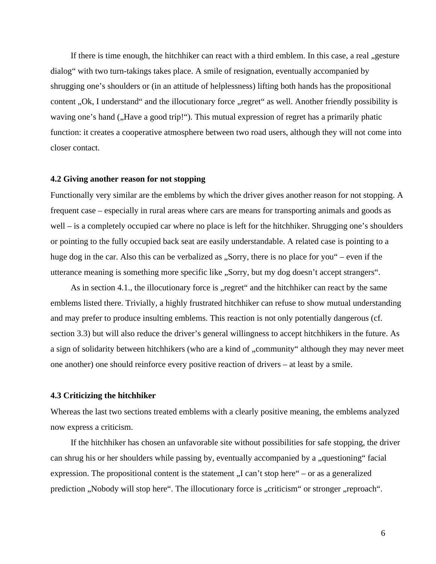If there is time enough, the hitchhiker can react with a third emblem. In this case, a real , gesture dialog" with two turn-takings takes place. A smile of resignation, eventually accompanied by shrugging one's shoulders or (in an attitude of helplessness) lifting both hands has the propositional content "Ok, I understand" and the illocutionary force "regret" as well. Another friendly possibility is waving one's hand ("Have a good trip!"). This mutual expression of regret has a primarily phatic function: it creates a cooperative atmosphere between two road users, although they will not come into closer contact.

#### **4.2 Giving another reason for not stopping**

Functionally very similar are the emblems by which the driver gives another reason for not stopping. A frequent case – especially in rural areas where cars are means for transporting animals and goods as well – is a completely occupied car where no place is left for the hitchhiker. Shrugging one's shoulders or pointing to the fully occupied back seat are easily understandable. A related case is pointing to a huge dog in the car. Also this can be verbalized as "Sorry, there is no place for you" – even if the utterance meaning is something more specific like "Sorry, but my dog doesn't accept strangers".

As in section 4.1, the illocutionary force is "regret" and the hitchhiker can react by the same emblems listed there. Trivially, a highly frustrated hitchhiker can refuse to show mutual understanding and may prefer to produce insulting emblems. This reaction is not only potentially dangerous (cf. section 3.3) but will also reduce the driver's general willingness to accept hitchhikers in the future. As a sign of solidarity between hitchhikers (who are a kind of "community" although they may never meet one another) one should reinforce every positive reaction of drivers – at least by a smile.

#### **4.3 Criticizing the hitchhiker**

Whereas the last two sections treated emblems with a clearly positive meaning, the emblems analyzed now express a criticism.

If the hitchhiker has chosen an unfavorable site without possibilities for safe stopping, the driver can shrug his or her shoulders while passing by, eventually accompanied by a "questioning" facial expression. The propositional content is the statement  $I$ ,  $I$  can't stop here" – or as a generalized prediction "Nobody will stop here". The illocutionary force is "criticism" or stronger "reproach".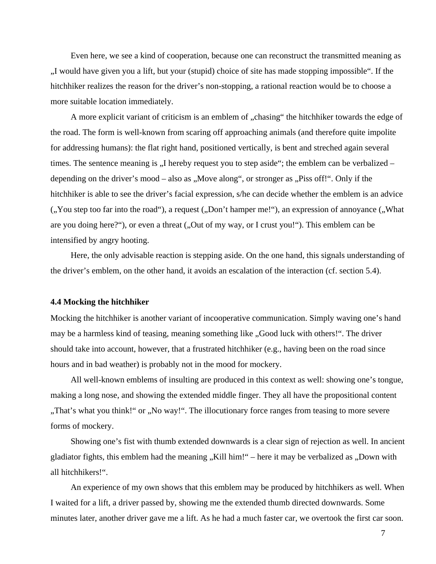Even here, we see a kind of cooperation, because one can reconstruct the transmitted meaning as "I would have given you a lift, but your (stupid) choice of site has made stopping impossible". If the hitchhiker realizes the reason for the driver's non-stopping, a rational reaction would be to choose a more suitable location immediately.

A more explicit variant of criticism is an emblem of "chasing" the hitchhiker towards the edge of the road. The form is well-known from scaring off approaching animals (and therefore quite impolite for addressing humans): the flat right hand, positioned vertically, is bent and streched again several times. The sentence meaning is  $\mu$  hereby request you to step aside"; the emblem can be verbalized – depending on the driver's mood – also as "Move along", or stronger as "Piss off!". Only if the hitchhiker is able to see the driver's facial expression, s/he can decide whether the emblem is an advice (", You step too far into the road"), a request (", Don't hamper me!"), an expression of annoyance ("What"), what are you doing here?"), or even a threat (, Out of my way, or I crust you!"). This emblem can be intensified by angry hooting.

Here, the only advisable reaction is stepping aside. On the one hand, this signals understanding of the driver's emblem, on the other hand, it avoids an escalation of the interaction (cf. section 5.4).

#### **4.4 Mocking the hitchhiker**

Mocking the hitchhiker is another variant of incooperative communication. Simply waving one's hand may be a harmless kind of teasing, meaning something like "Good luck with others!". The driver should take into account, however, that a frustrated hitchhiker (e.g., having been on the road since hours and in bad weather) is probably not in the mood for mockery.

All well-known emblems of insulting are produced in this context as well: showing one's tongue, making a long nose, and showing the extended middle finger. They all have the propositional content "That's what you think!" or "No way!". The illocutionary force ranges from teasing to more severe, forms of mockery.

Showing one's fist with thumb extended downwards is a clear sign of rejection as well. In ancient gladiator fights, this emblem had the meaning  $,Kill$  him!" – here it may be verbalized as  $,Down$  with all hitchhikers!".

An experience of my own shows that this emblem may be produced by hitchhikers as well. When I waited for a lift, a driver passed by, showing me the extended thumb directed downwards. Some minutes later, another driver gave me a lift. As he had a much faster car, we overtook the first car soon.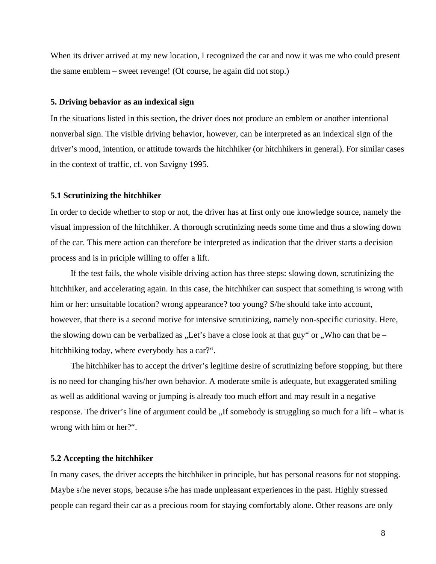When its driver arrived at my new location, I recognized the car and now it was me who could present the same emblem – sweet revenge! (Of course, he again did not stop.)

### **5. Driving behavior as an indexical sign**

In the situations listed in this section, the driver does not produce an emblem or another intentional nonverbal sign. The visible driving behavior, however, can be interpreted as an indexical sign of the driver's mood, intention, or attitude towards the hitchhiker (or hitchhikers in general). For similar cases in the context of traffic, cf. von Savigny 1995.

### **5.1 Scrutinizing the hitchhiker**

In order to decide whether to stop or not, the driver has at first only one knowledge source, namely the visual impression of the hitchhiker. A thorough scrutinizing needs some time and thus a slowing down of the car. This mere action can therefore be interpreted as indication that the driver starts a decision process and is in priciple willing to offer a lift.

If the test fails, the whole visible driving action has three steps: slowing down, scrutinizing the hitchhiker, and accelerating again. In this case, the hitchhiker can suspect that something is wrong with him or her: unsuitable location? wrong appearance? too young? S/he should take into account, however, that there is a second motive for intensive scrutinizing, namely non-specific curiosity. Here, the slowing down can be verbalized as "Let's have a close look at that guy" or  $\cdot$ , Who can that be – hitchhiking today, where everybody has a car?".

The hitchhiker has to accept the driver's legitime desire of scrutinizing before stopping, but there is no need for changing his/her own behavior. A moderate smile is adequate, but exaggerated smiling as well as additional waving or jumping is already too much effort and may result in a negative response. The driver's line of argument could be "If somebody is struggling so much for a lift – what is wrong with him or her?".

### **5.2 Accepting the hitchhiker**

In many cases, the driver accepts the hitchhiker in principle, but has personal reasons for not stopping. Maybe s/he never stops, because s/he has made unpleasant experiences in the past. Highly stressed people can regard their car as a precious room for staying comfortably alone. Other reasons are only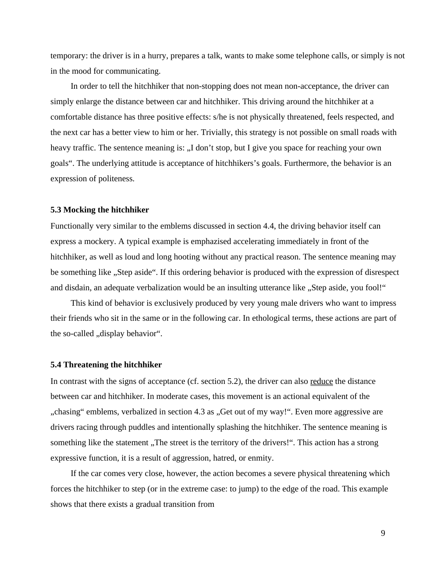temporary: the driver is in a hurry, prepares a talk, wants to make some telephone calls, or simply is not in the mood for communicating.

In order to tell the hitchhiker that non-stopping does not mean non-acceptance, the driver can simply enlarge the distance between car and hitchhiker. This driving around the hitchhiker at a comfortable distance has three positive effects: s/he is not physically threatened, feels respected, and the next car has a better view to him or her. Trivially, this strategy is not possible on small roads with heavy traffic. The sentence meaning is: "I don't stop, but I give you space for reaching your own goals". The underlying attitude is acceptance of hitchhikers's goals. Furthermore, the behavior is an expression of politeness.

#### **5.3 Mocking the hitchhiker**

Functionally very similar to the emblems discussed in section 4.4, the driving behavior itself can express a mockery. A typical example is emphazised accelerating immediately in front of the hitchhiker, as well as loud and long hooting without any practical reason. The sentence meaning may be something like "Step aside". If this ordering behavior is produced with the expression of disrespect and disdain, an adequate verbalization would be an insulting utterance like "Step aside, you fool!"

This kind of behavior is exclusively produced by very young male drivers who want to impress their friends who sit in the same or in the following car. In ethological terms, these actions are part of the so-called ", display behavior".

### **5.4 Threatening the hitchhiker**

In contrast with the signs of acceptance (cf. section 5.2), the driver can also reduce the distance between car and hitchhiker. In moderate cases, this movement is an actional equivalent of the "chasing" emblems, verbalized in section 4.3 as "Get out of my way!". Even more aggressive are drivers racing through puddles and intentionally splashing the hitchhiker. The sentence meaning is something like the statement "The street is the territory of the drivers!". This action has a strong expressive function, it is a result of aggression, hatred, or enmity.

If the car comes very close, however, the action becomes a severe physical threatening which forces the hitchhiker to step (or in the extreme case: to jump) to the edge of the road. This example shows that there exists a gradual transition from